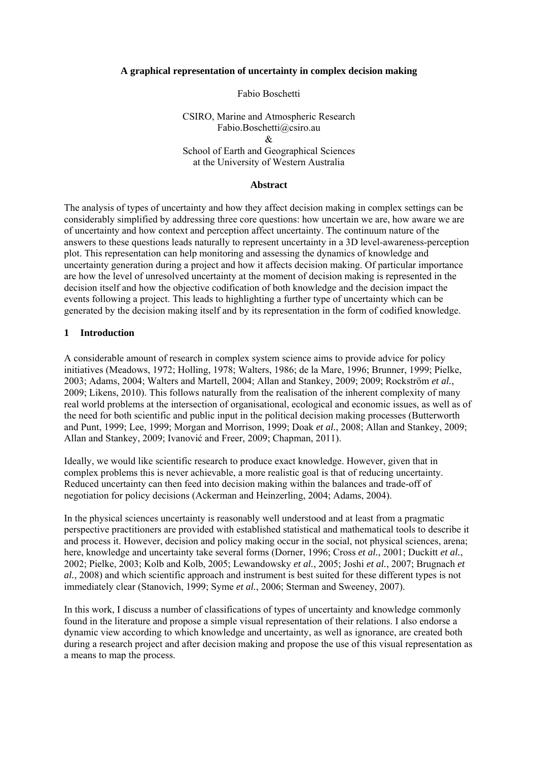#### **A graphical representation of uncertainty in complex decision making**

#### Fabio Boschetti

# CSIRO, Marine and Atmospheric Research Fabio.Boschetti@csiro.au  $\mathcal{R}$ School of Earth and Geographical Sciences at the University of Western Australia

#### **Abstract**

The analysis of types of uncertainty and how they affect decision making in complex settings can be considerably simplified by addressing three core questions: how uncertain we are, how aware we are of uncertainty and how context and perception affect uncertainty. The continuum nature of the answers to these questions leads naturally to represent uncertainty in a 3D level-awareness-perception plot. This representation can help monitoring and assessing the dynamics of knowledge and uncertainty generation during a project and how it affects decision making. Of particular importance are how the level of unresolved uncertainty at the moment of decision making is represented in the decision itself and how the objective codification of both knowledge and the decision impact the events following a project. This leads to highlighting a further type of uncertainty which can be generated by the decision making itself and by its representation in the form of codified knowledge.

### **1 Introduction**

A considerable amount of research in complex system science aims to provide advice for policy initiatives (Meadows, 1972; Holling, 1978; Walters, 1986; de la Mare, 1996; Brunner, 1999; Pielke, 2003; Adams, 2004; Walters and Martell, 2004; Allan and Stankey, 2009; 2009; Rockström *et al.*, 2009; Likens, 2010). This follows naturally from the realisation of the inherent complexity of many real world problems at the intersection of organisational, ecological and economic issues, as well as of the need for both scientific and public input in the political decision making processes (Butterworth and Punt, 1999; Lee, 1999; Morgan and Morrison, 1999; Doak *et al.*, 2008; Allan and Stankey, 2009; Allan and Stankey, 2009; Ivanović and Freer, 2009; Chapman, 2011).

Ideally, we would like scientific research to produce exact knowledge. However, given that in complex problems this is never achievable, a more realistic goal is that of reducing uncertainty. Reduced uncertainty can then feed into decision making within the balances and trade-off of negotiation for policy decisions (Ackerman and Heinzerling, 2004; Adams, 2004).

In the physical sciences uncertainty is reasonably well understood and at least from a pragmatic perspective practitioners are provided with established statistical and mathematical tools to describe it and process it. However, decision and policy making occur in the social, not physical sciences, arena; here, knowledge and uncertainty take several forms (Dorner, 1996; Cross *et al.*, 2001; Duckitt *et al.*, 2002; Pielke, 2003; Kolb and Kolb, 2005; Lewandowsky *et al.*, 2005; Joshi *et al.*, 2007; Brugnach *et al.*, 2008) and which scientific approach and instrument is best suited for these different types is not immediately clear (Stanovich, 1999; Syme *et al.*, 2006; Sterman and Sweeney, 2007).

In this work, I discuss a number of classifications of types of uncertainty and knowledge commonly found in the literature and propose a simple visual representation of their relations. I also endorse a dynamic view according to which knowledge and uncertainty, as well as ignorance, are created both during a research project and after decision making and propose the use of this visual representation as a means to map the process.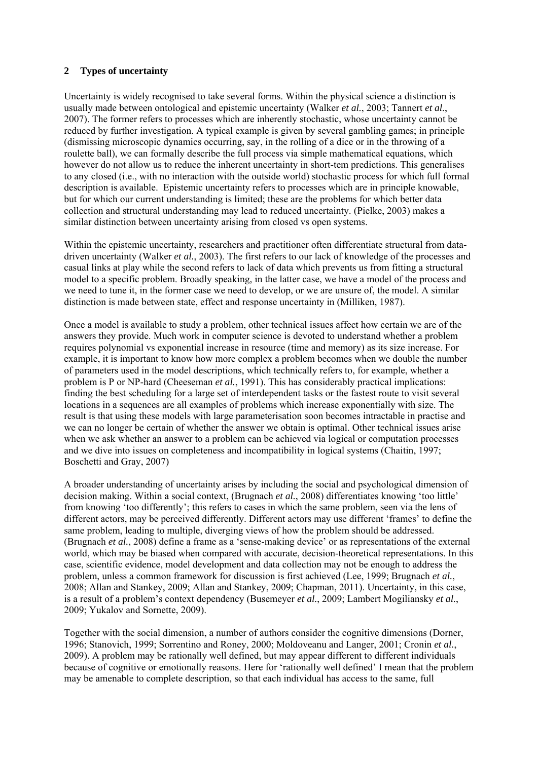# **2 Types of uncertainty**

Uncertainty is widely recognised to take several forms. Within the physical science a distinction is usually made between ontological and epistemic uncertainty (Walker *et al.*, 2003; Tannert *et al.*, 2007). The former refers to processes which are inherently stochastic, whose uncertainty cannot be reduced by further investigation. A typical example is given by several gambling games; in principle (dismissing microscopic dynamics occurring, say, in the rolling of a dice or in the throwing of a roulette ball), we can formally describe the full process via simple mathematical equations, which however do not allow us to reduce the inherent uncertainty in short-tem predictions. This generalises to any closed (i.e., with no interaction with the outside world) stochastic process for which full formal description is available. Epistemic uncertainty refers to processes which are in principle knowable, but for which our current understanding is limited; these are the problems for which better data collection and structural understanding may lead to reduced uncertainty. (Pielke, 2003) makes a similar distinction between uncertainty arising from closed vs open systems.

Within the epistemic uncertainty, researchers and practitioner often differentiate structural from datadriven uncertainty (Walker *et al.*, 2003). The first refers to our lack of knowledge of the processes and casual links at play while the second refers to lack of data which prevents us from fitting a structural model to a specific problem. Broadly speaking, in the latter case, we have a model of the process and we need to tune it, in the former case we need to develop, or we are unsure of, the model. A similar distinction is made between state, effect and response uncertainty in (Milliken, 1987).

Once a model is available to study a problem, other technical issues affect how certain we are of the answers they provide. Much work in computer science is devoted to understand whether a problem requires polynomial vs exponential increase in resource (time and memory) as its size increase. For example, it is important to know how more complex a problem becomes when we double the number of parameters used in the model descriptions, which technically refers to, for example, whether a problem is P or NP-hard (Cheeseman *et al.*, 1991). This has considerably practical implications: finding the best scheduling for a large set of interdependent tasks or the fastest route to visit several locations in a sequences are all examples of problems which increase exponentially with size. The result is that using these models with large parameterisation soon becomes intractable in practise and we can no longer be certain of whether the answer we obtain is optimal. Other technical issues arise when we ask whether an answer to a problem can be achieved via logical or computation processes and we dive into issues on completeness and incompatibility in logical systems (Chaitin, 1997; Boschetti and Gray, 2007)

A broader understanding of uncertainty arises by including the social and psychological dimension of decision making. Within a social context, (Brugnach *et al.*, 2008) differentiates knowing 'too little' from knowing 'too differently'; this refers to cases in which the same problem, seen via the lens of different actors, may be perceived differently. Different actors may use different 'frames' to define the same problem, leading to multiple, diverging views of how the problem should be addressed. (Brugnach *et al.*, 2008) define a frame as a 'sense-making device' or as representations of the external world, which may be biased when compared with accurate, decision-theoretical representations. In this case, scientific evidence, model development and data collection may not be enough to address the problem, unless a common framework for discussion is first achieved (Lee, 1999; Brugnach *et al.*, 2008; Allan and Stankey, 2009; Allan and Stankey, 2009; Chapman, 2011). Uncertainty, in this case, is a result of a problem's context dependency (Busemeyer *et al.*, 2009; Lambert Mogiliansky *et al.*, 2009; Yukalov and Sornette, 2009).

Together with the social dimension, a number of authors consider the cognitive dimensions (Dorner, 1996; Stanovich, 1999; Sorrentino and Roney, 2000; Moldoveanu and Langer, 2001; Cronin *et al.*, 2009). A problem may be rationally well defined, but may appear different to different individuals because of cognitive or emotionally reasons. Here for 'rationally well defined' I mean that the problem may be amenable to complete description, so that each individual has access to the same, full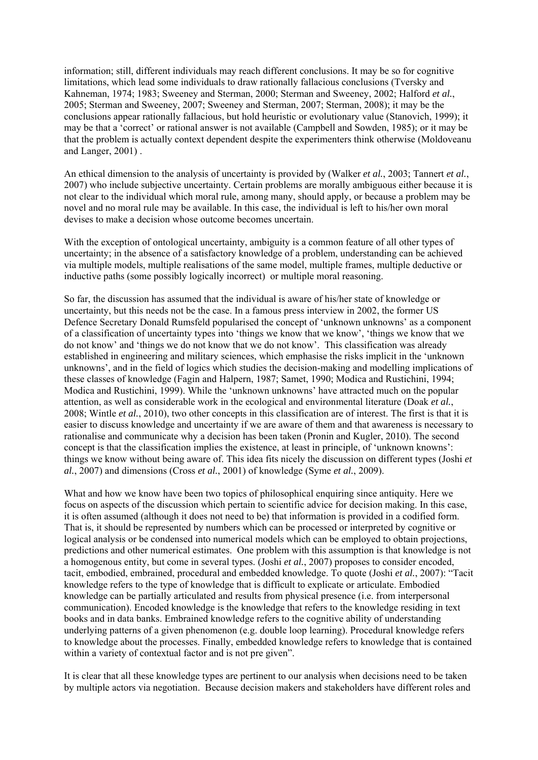information; still, different individuals may reach different conclusions. It may be so for cognitive limitations, which lead some individuals to draw rationally fallacious conclusions (Tversky and Kahneman, 1974; 1983; Sweeney and Sterman, 2000; Sterman and Sweeney, 2002; Halford *et al.*, 2005; Sterman and Sweeney, 2007; Sweeney and Sterman, 2007; Sterman, 2008); it may be the conclusions appear rationally fallacious, but hold heuristic or evolutionary value (Stanovich, 1999); it may be that a 'correct' or rational answer is not available (Campbell and Sowden, 1985); or it may be that the problem is actually context dependent despite the experimenters think otherwise (Moldoveanu and Langer, 2001) .

An ethical dimension to the analysis of uncertainty is provided by (Walker *et al.*, 2003; Tannert *et al.*, 2007) who include subjective uncertainty. Certain problems are morally ambiguous either because it is not clear to the individual which moral rule, among many, should apply, or because a problem may be novel and no moral rule may be available. In this case, the individual is left to his/her own moral devises to make a decision whose outcome becomes uncertain.

With the exception of ontological uncertainty, ambiguity is a common feature of all other types of uncertainty; in the absence of a satisfactory knowledge of a problem, understanding can be achieved via multiple models, multiple realisations of the same model, multiple frames, multiple deductive or inductive paths (some possibly logically incorrect) or multiple moral reasoning.

So far, the discussion has assumed that the individual is aware of his/her state of knowledge or uncertainty, but this needs not be the case. In a famous press interview in 2002, the former US Defence Secretary Donald Rumsfeld popularised the concept of 'unknown unknowns' as a component of a classification of uncertainty types into 'things we know that we know', 'things we know that we do not know' and 'things we do not know that we do not know'. This classification was already established in engineering and military sciences, which emphasise the risks implicit in the 'unknown unknowns', and in the field of logics which studies the decision-making and modelling implications of these classes of knowledge (Fagin and Halpern, 1987; Samet, 1990; Modica and Rustichini, 1994; Modica and Rustichini, 1999). While the 'unknown unknowns' have attracted much on the popular attention, as well as considerable work in the ecological and environmental literature (Doak *et al.*, 2008; Wintle *et al.*, 2010), two other concepts in this classification are of interest. The first is that it is easier to discuss knowledge and uncertainty if we are aware of them and that awareness is necessary to rationalise and communicate why a decision has been taken (Pronin and Kugler, 2010). The second concept is that the classification implies the existence, at least in principle, of 'unknown knowns': things we know without being aware of. This idea fits nicely the discussion on different types (Joshi *et al.*, 2007) and dimensions (Cross *et al.*, 2001) of knowledge (Syme *et al.*, 2009).

What and how we know have been two topics of philosophical enquiring since antiquity. Here we focus on aspects of the discussion which pertain to scientific advice for decision making. In this case, it is often assumed (although it does not need to be) that information is provided in a codified form. That is, it should be represented by numbers which can be processed or interpreted by cognitive or logical analysis or be condensed into numerical models which can be employed to obtain projections, predictions and other numerical estimates. One problem with this assumption is that knowledge is not a homogenous entity, but come in several types. (Joshi *et al.*, 2007) proposes to consider encoded, tacit, embodied, embrained, procedural and embedded knowledge. To quote (Joshi *et al.*, 2007): "Tacit knowledge refers to the type of knowledge that is difficult to explicate or articulate. Embodied knowledge can be partially articulated and results from physical presence (i.e. from interpersonal communication). Encoded knowledge is the knowledge that refers to the knowledge residing in text books and in data banks. Embrained knowledge refers to the cognitive ability of understanding underlying patterns of a given phenomenon (e.g. double loop learning). Procedural knowledge refers to knowledge about the processes. Finally, embedded knowledge refers to knowledge that is contained within a variety of contextual factor and is not pre given".

It is clear that all these knowledge types are pertinent to our analysis when decisions need to be taken by multiple actors via negotiation. Because decision makers and stakeholders have different roles and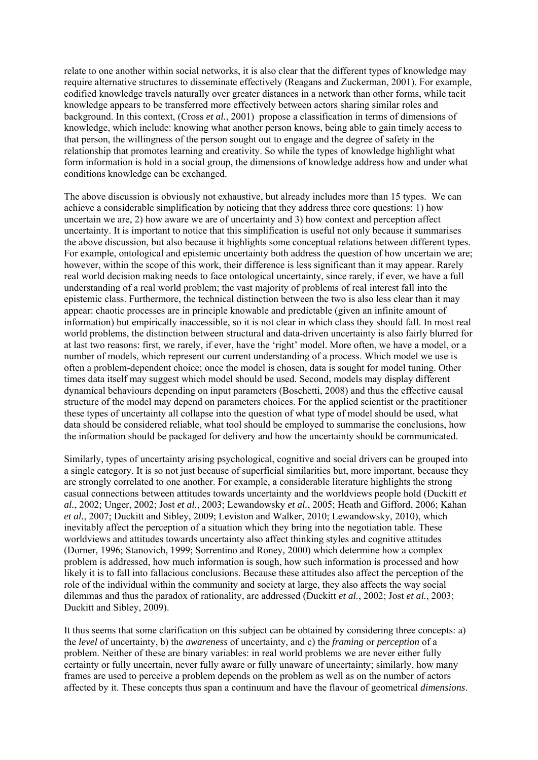relate to one another within social networks, it is also clear that the different types of knowledge may require alternative structures to disseminate effectively (Reagans and Zuckerman, 2001). For example, codified knowledge travels naturally over greater distances in a network than other forms, while tacit knowledge appears to be transferred more effectively between actors sharing similar roles and background. In this context, (Cross *et al.*, 2001) propose a classification in terms of dimensions of knowledge, which include: knowing what another person knows, being able to gain timely access to that person, the willingness of the person sought out to engage and the degree of safety in the relationship that promotes learning and creativity. So while the types of knowledge highlight what form information is hold in a social group, the dimensions of knowledge address how and under what conditions knowledge can be exchanged.

The above discussion is obviously not exhaustive, but already includes more than 15 types. We can achieve a considerable simplification by noticing that they address three core questions: 1) how uncertain we are, 2) how aware we are of uncertainty and 3) how context and perception affect uncertainty. It is important to notice that this simplification is useful not only because it summarises the above discussion, but also because it highlights some conceptual relations between different types. For example, ontological and epistemic uncertainty both address the question of how uncertain we are: however, within the scope of this work, their difference is less significant than it may appear. Rarely real world decision making needs to face ontological uncertainty, since rarely, if ever, we have a full understanding of a real world problem; the vast majority of problems of real interest fall into the epistemic class. Furthermore, the technical distinction between the two is also less clear than it may appear: chaotic processes are in principle knowable and predictable (given an infinite amount of information) but empirically inaccessible, so it is not clear in which class they should fall. In most real world problems, the distinction between structural and data-driven uncertainty is also fairly blurred for at last two reasons: first, we rarely, if ever, have the 'right' model. More often, we have a model, or a number of models, which represent our current understanding of a process. Which model we use is often a problem-dependent choice; once the model is chosen, data is sought for model tuning. Other times data itself may suggest which model should be used. Second, models may display different dynamical behaviours depending on input parameters (Boschetti, 2008) and thus the effective causal structure of the model may depend on parameters choices. For the applied scientist or the practitioner these types of uncertainty all collapse into the question of what type of model should be used, what data should be considered reliable, what tool should be employed to summarise the conclusions, how the information should be packaged for delivery and how the uncertainty should be communicated.

Similarly, types of uncertainty arising psychological, cognitive and social drivers can be grouped into a single category. It is so not just because of superficial similarities but, more important, because they are strongly correlated to one another. For example, a considerable literature highlights the strong casual connections between attitudes towards uncertainty and the worldviews people hold (Duckitt *et al.*, 2002; Unger, 2002; Jost *et al.*, 2003; Lewandowsky *et al.*, 2005; Heath and Gifford, 2006; Kahan *et al.*, 2007; Duckitt and Sibley, 2009; Leviston and Walker, 2010; Lewandowsky, 2010), which inevitably affect the perception of a situation which they bring into the negotiation table. These worldviews and attitudes towards uncertainty also affect thinking styles and cognitive attitudes (Dorner, 1996; Stanovich, 1999; Sorrentino and Roney, 2000) which determine how a complex problem is addressed, how much information is sough, how such information is processed and how likely it is to fall into fallacious conclusions. Because these attitudes also affect the perception of the role of the individual within the community and society at large, they also affects the way social dilemmas and thus the paradox of rationality, are addressed (Duckitt *et al.*, 2002; Jost *et al.*, 2003; Duckitt and Sibley, 2009).

It thus seems that some clarification on this subject can be obtained by considering three concepts: a) the *level* of uncertainty, b) the *awareness* of uncertainty, and c) the *framing* or *perception* of a problem. Neither of these are binary variables: in real world problems we are never either fully certainty or fully uncertain, never fully aware or fully unaware of uncertainty; similarly, how many frames are used to perceive a problem depends on the problem as well as on the number of actors affected by it. These concepts thus span a continuum and have the flavour of geometrical *dimensions*.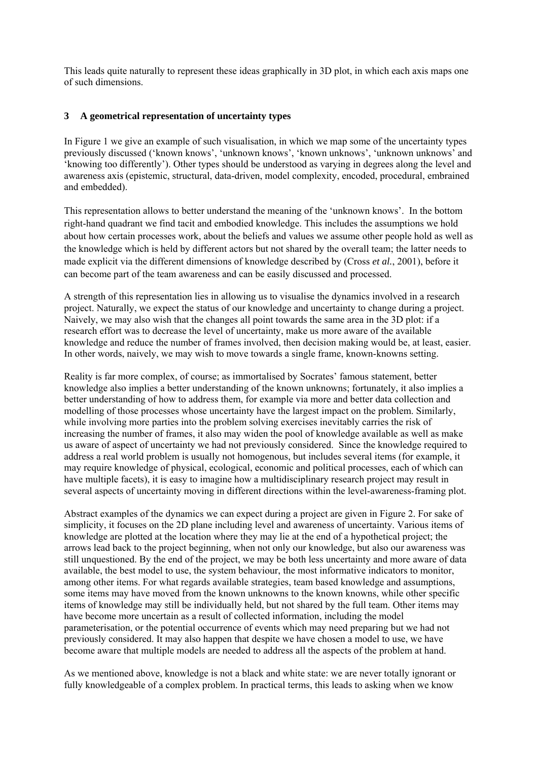This leads quite naturally to represent these ideas graphically in 3D plot, in which each axis maps one of such dimensions.

# **3 A geometrical representation of uncertainty types**

In Figure 1 we give an example of such visualisation, in which we map some of the uncertainty types previously discussed ('known knows', 'unknown knows', 'known unknows', 'unknown unknows' and 'knowing too differently'). Other types should be understood as varying in degrees along the level and awareness axis (epistemic, structural, data-driven, model complexity, encoded, procedural, embrained and embedded).

This representation allows to better understand the meaning of the 'unknown knows'. In the bottom right-hand quadrant we find tacit and embodied knowledge. This includes the assumptions we hold about how certain processes work, about the beliefs and values we assume other people hold as well as the knowledge which is held by different actors but not shared by the overall team; the latter needs to made explicit via the different dimensions of knowledge described by (Cross *et al.*, 2001), before it can become part of the team awareness and can be easily discussed and processed.

A strength of this representation lies in allowing us to visualise the dynamics involved in a research project. Naturally, we expect the status of our knowledge and uncertainty to change during a project. Naively, we may also wish that the changes all point towards the same area in the 3D plot: if a research effort was to decrease the level of uncertainty, make us more aware of the available knowledge and reduce the number of frames involved, then decision making would be, at least, easier. In other words, naively, we may wish to move towards a single frame, known-knowns setting.

Reality is far more complex, of course; as immortalised by Socrates' famous statement, better knowledge also implies a better understanding of the known unknowns; fortunately, it also implies a better understanding of how to address them, for example via more and better data collection and modelling of those processes whose uncertainty have the largest impact on the problem. Similarly, while involving more parties into the problem solving exercises inevitably carries the risk of increasing the number of frames, it also may widen the pool of knowledge available as well as make us aware of aspect of uncertainty we had not previously considered. Since the knowledge required to address a real world problem is usually not homogenous, but includes several items (for example, it may require knowledge of physical, ecological, economic and political processes, each of which can have multiple facets), it is easy to imagine how a multidisciplinary research project may result in several aspects of uncertainty moving in different directions within the level-awareness-framing plot.

Abstract examples of the dynamics we can expect during a project are given in Figure 2. For sake of simplicity, it focuses on the 2D plane including level and awareness of uncertainty. Various items of knowledge are plotted at the location where they may lie at the end of a hypothetical project; the arrows lead back to the project beginning, when not only our knowledge, but also our awareness was still unquestioned. By the end of the project, we may be both less uncertainty and more aware of data available, the best model to use, the system behaviour, the most informative indicators to monitor, among other items. For what regards available strategies, team based knowledge and assumptions, some items may have moved from the known unknowns to the known knowns, while other specific items of knowledge may still be individually held, but not shared by the full team. Other items may have become more uncertain as a result of collected information, including the model parameterisation, or the potential occurrence of events which may need preparing but we had not previously considered. It may also happen that despite we have chosen a model to use, we have become aware that multiple models are needed to address all the aspects of the problem at hand.

As we mentioned above, knowledge is not a black and white state: we are never totally ignorant or fully knowledgeable of a complex problem. In practical terms, this leads to asking when we know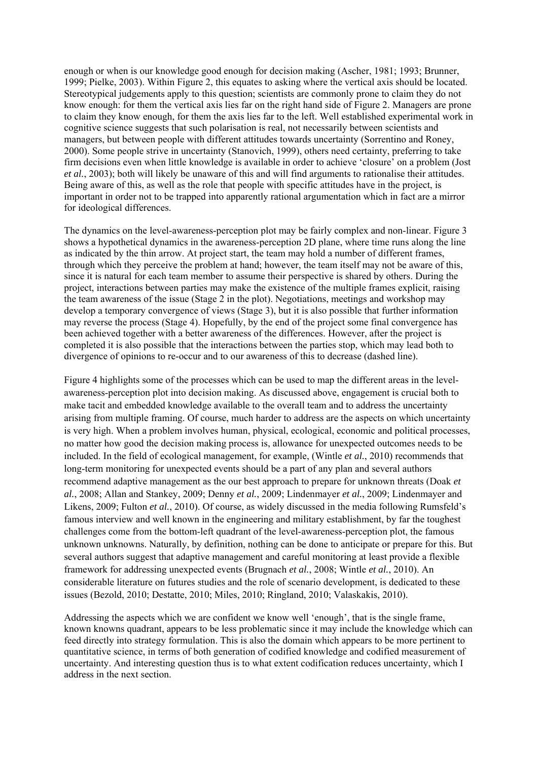enough or when is our knowledge good enough for decision making (Ascher, 1981; 1993; Brunner, 1999; Pielke, 2003). Within Figure 2, this equates to asking where the vertical axis should be located. Stereotypical judgements apply to this question; scientists are commonly prone to claim they do not know enough: for them the vertical axis lies far on the right hand side of Figure 2. Managers are prone to claim they know enough, for them the axis lies far to the left. Well established experimental work in cognitive science suggests that such polarisation is real, not necessarily between scientists and managers, but between people with different attitudes towards uncertainty (Sorrentino and Roney, 2000). Some people strive in uncertainty (Stanovich, 1999), others need certainty, preferring to take firm decisions even when little knowledge is available in order to achieve 'closure' on a problem (Jost *et al.*, 2003); both will likely be unaware of this and will find arguments to rationalise their attitudes. Being aware of this, as well as the role that people with specific attitudes have in the project, is important in order not to be trapped into apparently rational argumentation which in fact are a mirror for ideological differences.

The dynamics on the level-awareness-perception plot may be fairly complex and non-linear. Figure 3 shows a hypothetical dynamics in the awareness-perception 2D plane, where time runs along the line as indicated by the thin arrow. At project start, the team may hold a number of different frames, through which they perceive the problem at hand; however, the team itself may not be aware of this, since it is natural for each team member to assume their perspective is shared by others. During the project, interactions between parties may make the existence of the multiple frames explicit, raising the team awareness of the issue (Stage 2 in the plot). Negotiations, meetings and workshop may develop a temporary convergence of views (Stage 3), but it is also possible that further information may reverse the process (Stage 4). Hopefully, by the end of the project some final convergence has been achieved together with a better awareness of the differences. However, after the project is completed it is also possible that the interactions between the parties stop, which may lead both to divergence of opinions to re-occur and to our awareness of this to decrease (dashed line).

Figure 4 highlights some of the processes which can be used to map the different areas in the levelawareness-perception plot into decision making. As discussed above, engagement is crucial both to make tacit and embedded knowledge available to the overall team and to address the uncertainty arising from multiple framing. Of course, much harder to address are the aspects on which uncertainty is very high. When a problem involves human, physical, ecological, economic and political processes, no matter how good the decision making process is, allowance for unexpected outcomes needs to be included. In the field of ecological management, for example, (Wintle *et al.*, 2010) recommends that long-term monitoring for unexpected events should be a part of any plan and several authors recommend adaptive management as the our best approach to prepare for unknown threats (Doak *et al.*, 2008; Allan and Stankey, 2009; Denny *et al.*, 2009; Lindenmayer *et al.*, 2009; Lindenmayer and Likens, 2009; Fulton *et al.*, 2010). Of course, as widely discussed in the media following Rumsfeld's famous interview and well known in the engineering and military establishment, by far the toughest challenges come from the bottom-left quadrant of the level-awareness-perception plot, the famous unknown unknowns. Naturally, by definition, nothing can be done to anticipate or prepare for this. But several authors suggest that adaptive management and careful monitoring at least provide a flexible framework for addressing unexpected events (Brugnach *et al.*, 2008; Wintle *et al.*, 2010). An considerable literature on futures studies and the role of scenario development, is dedicated to these issues (Bezold, 2010; Destatte, 2010; Miles, 2010; Ringland, 2010; Valaskakis, 2010).

Addressing the aspects which we are confident we know well 'enough', that is the single frame, known knowns quadrant, appears to be less problematic since it may include the knowledge which can feed directly into strategy formulation. This is also the domain which appears to be more pertinent to quantitative science, in terms of both generation of codified knowledge and codified measurement of uncertainty. And interesting question thus is to what extent codification reduces uncertainty, which I address in the next section.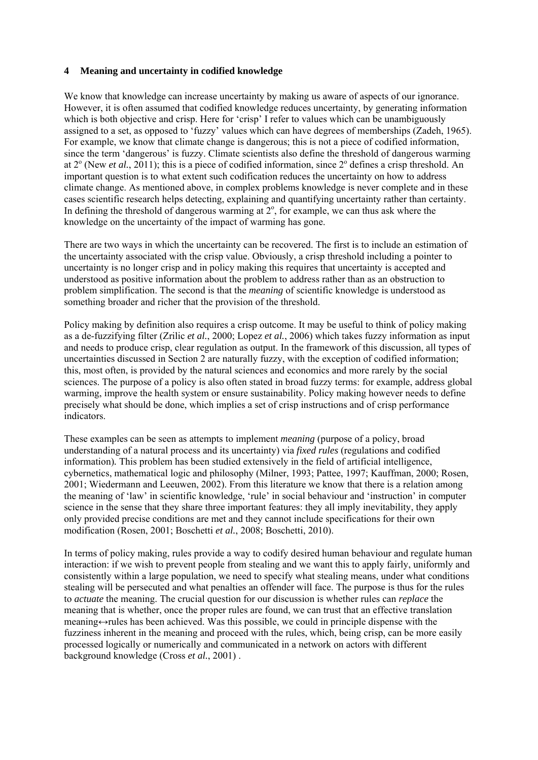## **4 Meaning and uncertainty in codified knowledge**

We know that knowledge can increase uncertainty by making us aware of aspects of our ignorance. However, it is often assumed that codified knowledge reduces uncertainty, by generating information which is both objective and crisp. Here for 'crisp' I refer to values which can be unambiguously assigned to a set, as opposed to 'fuzzy' values which can have degrees of memberships (Zadeh, 1965). For example, we know that climate change is dangerous; this is not a piece of codified information, since the term 'dangerous' is fuzzy. Climate scientists also define the threshold of dangerous warming at  $2^{\circ}$  (New *et al.*, 2011); this is a piece of codified information, since  $2^{\circ}$  defines a crisp threshold. An important question is to what extent such codification reduces the uncertainty on how to address climate change. As mentioned above, in complex problems knowledge is never complete and in these cases scientific research helps detecting, explaining and quantifying uncertainty rather than certainty. In defining the threshold of dangerous warming at  $2^\circ$ , for example, we can thus ask where the knowledge on the uncertainty of the impact of warming has gone.

There are two ways in which the uncertainty can be recovered. The first is to include an estimation of the uncertainty associated with the crisp value. Obviously, a crisp threshold including a pointer to uncertainty is no longer crisp and in policy making this requires that uncertainty is accepted and understood as positive information about the problem to address rather than as an obstruction to problem simplification. The second is that the *meaning* of scientific knowledge is understood as something broader and richer that the provision of the threshold.

Policy making by definition also requires a crisp outcome. It may be useful to think of policy making as a de-fuzzifying filter (Zrilic *et al.*, 2000; Lopez *et al.*, 2006) which takes fuzzy information as input and needs to produce crisp, clear regulation as output. In the framework of this discussion, all types of uncertainties discussed in Section 2 are naturally fuzzy, with the exception of codified information; this, most often, is provided by the natural sciences and economics and more rarely by the social sciences. The purpose of a policy is also often stated in broad fuzzy terms: for example, address global warming, improve the health system or ensure sustainability. Policy making however needs to define precisely what should be done, which implies a set of crisp instructions and of crisp performance indicators.

These examples can be seen as attempts to implement *meaning* (purpose of a policy, broad understanding of a natural process and its uncertainty) via *fixed rules* (regulations and codified information)*.* This problem has been studied extensively in the field of artificial intelligence, cybernetics, mathematical logic and philosophy (Milner, 1993; Pattee, 1997; Kauffman, 2000; Rosen, 2001; Wiedermann and Leeuwen, 2002). From this literature we know that there is a relation among the meaning of 'law' in scientific knowledge, 'rule' in social behaviour and 'instruction' in computer science in the sense that they share three important features: they all imply inevitability, they apply only provided precise conditions are met and they cannot include specifications for their own modification (Rosen, 2001; Boschetti *et al.*, 2008; Boschetti, 2010).

In terms of policy making, rules provide a way to codify desired human behaviour and regulate human interaction: if we wish to prevent people from stealing and we want this to apply fairly, uniformly and consistently within a large population, we need to specify what stealing means, under what conditions stealing will be persecuted and what penalties an offender will face. The purpose is thus for the rules to *actuate* the meaning. The crucial question for our discussion is whether rules can *replace* the meaning that is whether, once the proper rules are found, we can trust that an effective translation meaning↔rules has been achieved. Was this possible, we could in principle dispense with the fuzziness inherent in the meaning and proceed with the rules, which, being crisp, can be more easily processed logically or numerically and communicated in a network on actors with different background knowledge (Cross *et al.*, 2001) .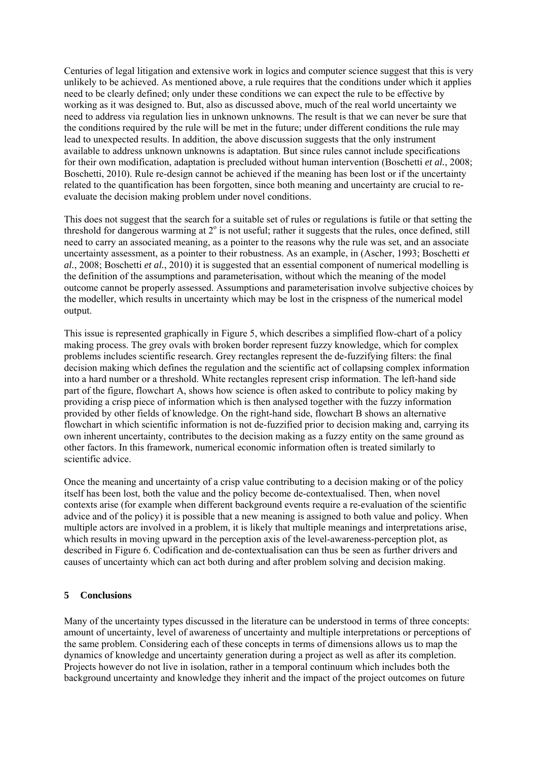Centuries of legal litigation and extensive work in logics and computer science suggest that this is very unlikely to be achieved. As mentioned above, a rule requires that the conditions under which it applies need to be clearly defined; only under these conditions we can expect the rule to be effective by working as it was designed to. But, also as discussed above, much of the real world uncertainty we need to address via regulation lies in unknown unknowns. The result is that we can never be sure that the conditions required by the rule will be met in the future; under different conditions the rule may lead to unexpected results. In addition, the above discussion suggests that the only instrument available to address unknown unknowns is adaptation. But since rules cannot include specifications for their own modification, adaptation is precluded without human intervention (Boschetti *et al.*, 2008; Boschetti, 2010). Rule re-design cannot be achieved if the meaning has been lost or if the uncertainty related to the quantification has been forgotten, since both meaning and uncertainty are crucial to reevaluate the decision making problem under novel conditions.

This does not suggest that the search for a suitable set of rules or regulations is futile or that setting the threshold for dangerous warming at  $2^{\circ}$  is not useful; rather it suggests that the rules, once defined, still need to carry an associated meaning, as a pointer to the reasons why the rule was set, and an associate uncertainty assessment, as a pointer to their robustness. As an example, in (Ascher, 1993; Boschetti *et al.*, 2008; Boschetti *et al.*, 2010) it is suggested that an essential component of numerical modelling is the definition of the assumptions and parameterisation, without which the meaning of the model outcome cannot be properly assessed. Assumptions and parameterisation involve subjective choices by the modeller, which results in uncertainty which may be lost in the crispness of the numerical model output.

This issue is represented graphically in Figure 5, which describes a simplified flow-chart of a policy making process. The grey ovals with broken border represent fuzzy knowledge, which for complex problems includes scientific research. Grey rectangles represent the de-fuzzifying filters: the final decision making which defines the regulation and the scientific act of collapsing complex information into a hard number or a threshold. White rectangles represent crisp information. The left-hand side part of the figure, flowchart A, shows how science is often asked to contribute to policy making by providing a crisp piece of information which is then analysed together with the fuzzy information provided by other fields of knowledge. On the right-hand side, flowchart B shows an alternative flowchart in which scientific information is not de-fuzzified prior to decision making and, carrying its own inherent uncertainty, contributes to the decision making as a fuzzy entity on the same ground as other factors. In this framework, numerical economic information often is treated similarly to scientific advice.

Once the meaning and uncertainty of a crisp value contributing to a decision making or of the policy itself has been lost, both the value and the policy become de-contextualised. Then, when novel contexts arise (for example when different background events require a re-evaluation of the scientific advice and of the policy) it is possible that a new meaning is assigned to both value and policy. When multiple actors are involved in a problem, it is likely that multiple meanings and interpretations arise, which results in moving upward in the perception axis of the level-awareness-perception plot, as described in Figure 6. Codification and de-contextualisation can thus be seen as further drivers and causes of uncertainty which can act both during and after problem solving and decision making.

## **5 Conclusions**

Many of the uncertainty types discussed in the literature can be understood in terms of three concepts: amount of uncertainty, level of awareness of uncertainty and multiple interpretations or perceptions of the same problem. Considering each of these concepts in terms of dimensions allows us to map the dynamics of knowledge and uncertainty generation during a project as well as after its completion. Projects however do not live in isolation, rather in a temporal continuum which includes both the background uncertainty and knowledge they inherit and the impact of the project outcomes on future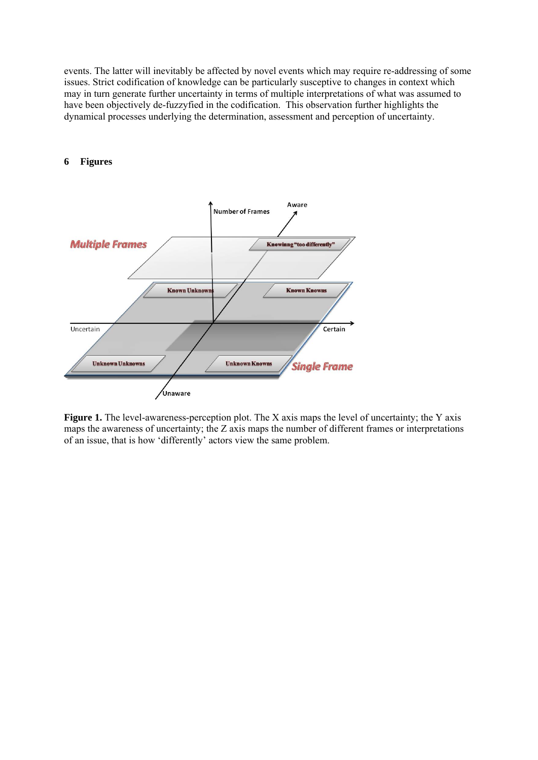events. The latter will inevitably be affected by novel events which may require re-addressing of some issues. Strict codification of knowledge can be particularly susceptive to changes in context which may in turn generate further uncertainty in terms of multiple interpretations of what was assumed to have been objectively de-fuzzyfied in the codification. This observation further highlights the dynamical processes underlying the determination, assessment and perception of uncertainty.



#### **6 Figures**

**Figure 1.** The level-awareness-perception plot. The X axis maps the level of uncertainty; the Y axis maps the awareness of uncertainty; the Z axis maps the number of different frames or interpretations of an issue, that is how 'differently' actors view the same problem.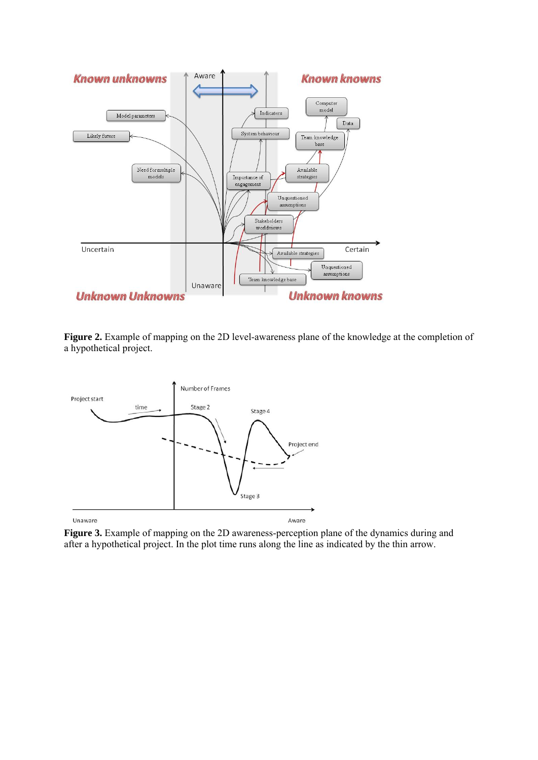

**Figure 2.** Example of mapping on the 2D level-awareness plane of the knowledge at the completion of a hypothetical project.



Figure 3. Example of mapping on the 2D awareness-perception plane of the dynamics during and after a hypothetical project. In the plot time runs along the line as indicated by the thin arrow.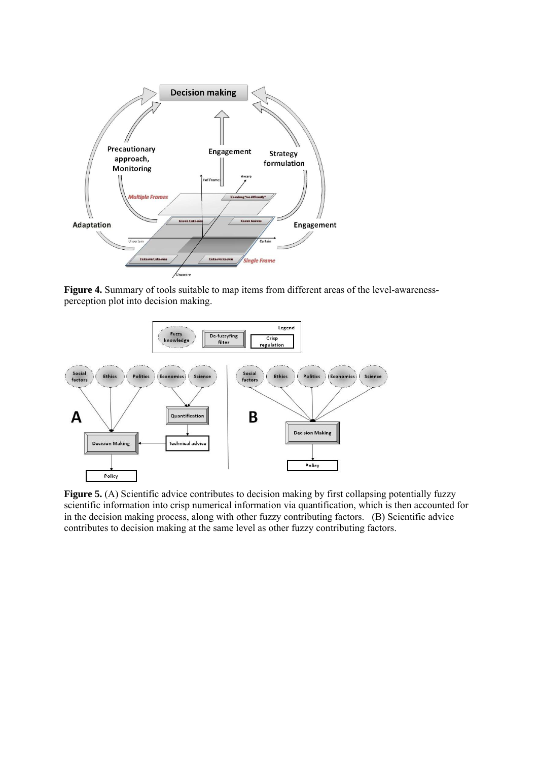

**Figure 4.** Summary of tools suitable to map items from different areas of the level-awarenessperception plot into decision making.



**Figure 5.** (A) Scientific advice contributes to decision making by first collapsing potentially fuzzy scientific information into crisp numerical information via quantification, which is then accounted for in the decision making process, along with other fuzzy contributing factors. (B) Scientific advice contributes to decision making at the same level as other fuzzy contributing factors.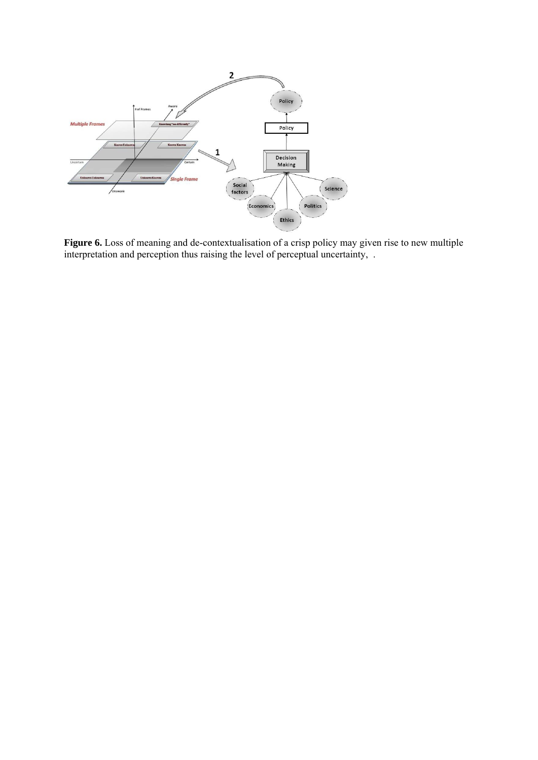

Figure 6. Loss of meaning and de-contextualisation of a crisp policy may given rise to new multiple interpretation and perception thus raising the level of perceptual uncertainty, .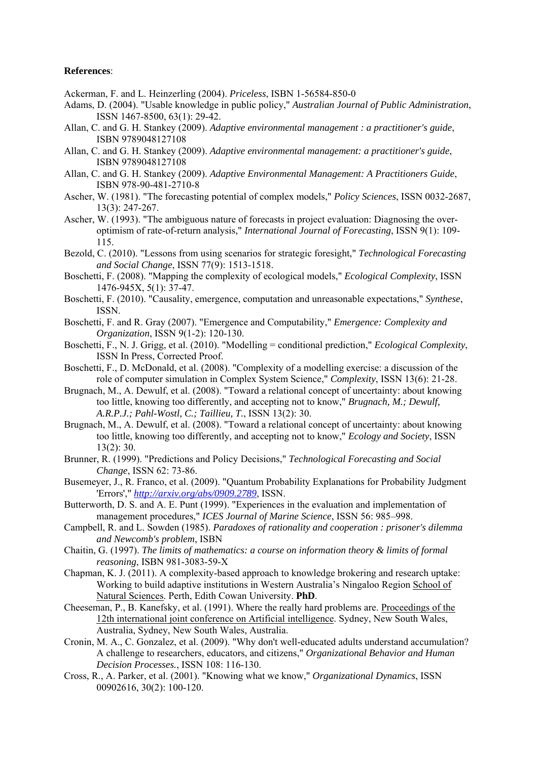#### **References**:

- Ackerman, F. and L. Heinzerling (2004). *Priceless*, ISBN 1-56584-850-0
- Adams, D. (2004). "Usable knowledge in public policy," *Australian Journal of Public Administration*, ISSN 1467-8500, 63(1): 29-42.
- Allan, C. and G. H. Stankey (2009). *Adaptive environmental management : a practitioner's guide*, ISBN 9789048127108
- Allan, C. and G. H. Stankey (2009). *Adaptive environmental management: a practitioner's guide*, ISBN 9789048127108
- Allan, C. and G. H. Stankey (2009). *Adaptive Environmental Management: A Practitioners Guide*, ISBN 978-90-481-2710-8
- Ascher, W. (1981). "The forecasting potential of complex models," *Policy Sciences*, ISSN 0032-2687, 13(3): 247-267.
- Ascher, W. (1993). "The ambiguous nature of forecasts in project evaluation: Diagnosing the overoptimism of rate-of-return analysis," *International Journal of Forecasting*, ISSN 9(1): 109- 115.
- Bezold, C. (2010). "Lessons from using scenarios for strategic foresight," *Technological Forecasting and Social Change*, ISSN 77(9): 1513-1518.
- Boschetti, F. (2008). "Mapping the complexity of ecological models," *Ecological Complexity*, ISSN 1476-945X, 5(1): 37-47.
- Boschetti, F. (2010). "Causality, emergence, computation and unreasonable expectations," *Synthese*, ISSN.
- Boschetti, F. and R. Gray (2007). "Emergence and Computability," *Emergence: Complexity and Organization*, ISSN 9(1-2): 120-130.
- Boschetti, F., N. J. Grigg, et al. (2010). "Modelling = conditional prediction," *Ecological Complexity*, ISSN In Press, Corrected Proof.
- Boschetti, F., D. McDonald, et al. (2008). "Complexity of a modelling exercise: a discussion of the role of computer simulation in Complex System Science," *Complexity*, ISSN 13(6): 21-28.
- Brugnach, M., A. Dewulf, et al. (2008). "Toward a relational concept of uncertainty: about knowing too little, knowing too differently, and accepting not to know," *Brugnach, M.; Dewulf, A.R.P.J.; Pahl-Wostl, C.; Taillieu, T.*, ISSN 13(2): 30.
- Brugnach, M., A. Dewulf, et al. (2008). "Toward a relational concept of uncertainty: about knowing too little, knowing too differently, and accepting not to know," *Ecology and Society*, ISSN 13(2): 30.
- Brunner, R. (1999). "Predictions and Policy Decisions," *Technological Forecasting and Social Change*, ISSN 62: 73-86.
- Busemeyer, J., R. Franco, et al. (2009). "Quantum Probability Explanations for Probability Judgment 'Errors'," *http://arxiv.org/abs/0909.2789*, ISSN.
- Butterworth, D. S. and A. E. Punt (1999). "Experiences in the evaluation and implementation of management procedures," *ICES Journal of Marine Science*, ISSN 56: 985–998.
- Campbell, R. and L. Sowden (1985). *Paradoxes of rationality and cooperation : prisoner's dilemma and Newcomb's problem*, ISBN
- Chaitin, G. (1997). *The limits of mathematics: a course on information theory & limits of formal reasoning*, ISBN 981-3083-59-X
- Chapman, K. J. (2011). A complexity-based approach to knowledge brokering and research uptake: Working to build adaptive institutions in Western Australia's Ningaloo Region School of Natural Sciences. Perth, Edith Cowan University. **PhD**.
- Cheeseman, P., B. Kanefsky, et al. (1991). Where the really hard problems are. Proceedings of the 12th international joint conference on Artificial intelligence. Sydney, New South Wales, Australia, Sydney, New South Wales, Australia.
- Cronin, M. A., C. Gonzalez, et al. (2009). "Why don't well-educated adults understand accumulation? A challenge to researchers, educators, and citizens," *Organizational Behavior and Human Decision Processes.*, ISSN 108: 116-130.
- Cross, R., A. Parker, et al. (2001). "Knowing what we know," *Organizational Dynamics*, ISSN 00902616, 30(2): 100-120.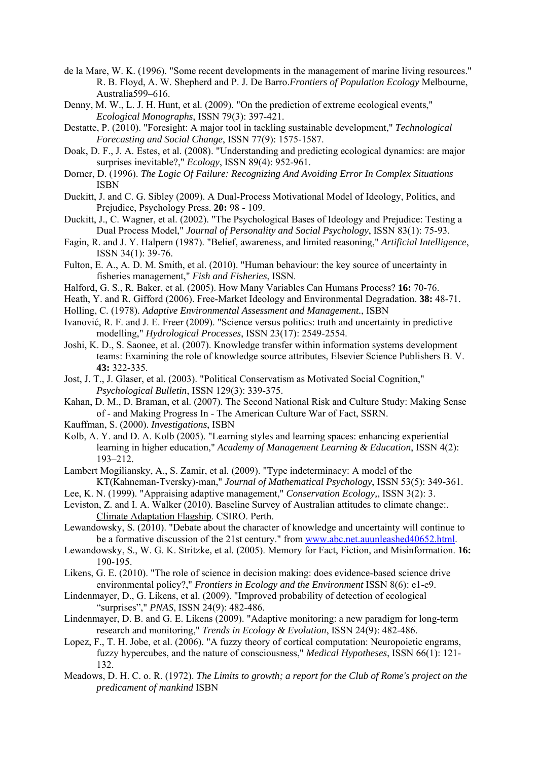- de la Mare, W. K. (1996). "Some recent developments in the management of marine living resources." R. B. Floyd, A. W. Shepherd and P. J. De Barro.*Frontiers of Population Ecology* Melbourne, Australia599–616.
- Denny, M. W., L. J. H. Hunt, et al. (2009). "On the prediction of extreme ecological events," *Ecological Monographs*, ISSN 79(3): 397-421.
- Destatte, P. (2010). "Foresight: A major tool in tackling sustainable development," *Technological Forecasting and Social Change*, ISSN 77(9): 1575-1587.
- Doak, D. F., J. A. Estes, et al. (2008). "Understanding and predicting ecological dynamics: are major surprises inevitable?," *Ecology*, ISSN 89(4): 952-961.
- Dorner, D. (1996). *The Logic Of Failure: Recognizing And Avoiding Error In Complex Situations*  ISBN
- Duckitt, J. and C. G. Sibley (2009). A Dual-Process Motivational Model of Ideology, Politics, and Prejudice, Psychology Press. **20:** 98 - 109.
- Duckitt, J., C. Wagner, et al. (2002). "The Psychological Bases of Ideology and Prejudice: Testing a Dual Process Model," *Journal of Personality and Social Psychology*, ISSN 83(1): 75-93.
- Fagin, R. and J. Y. Halpern (1987). "Belief, awareness, and limited reasoning," *Artificial Intelligence*, ISSN 34(1): 39-76.
- Fulton, E. A., A. D. M. Smith, et al. (2010). "Human behaviour: the key source of uncertainty in fisheries management," *Fish and Fisheries*, ISSN.
- Halford, G. S., R. Baker, et al. (2005). How Many Variables Can Humans Process? **16:** 70-76.
- Heath, Y. and R. Gifford (2006). Free-Market Ideology and Environmental Degradation. **38:** 48-71.
- Holling, C. (1978). *Adaptive Environmental Assessment and Management.*, ISBN
- Ivanović, R. F. and J. E. Freer (2009). "Science versus politics: truth and uncertainty in predictive modelling," *Hydrological Processes*, ISSN 23(17): 2549-2554.
- Joshi, K. D., S. Saonee, et al. (2007). Knowledge transfer within information systems development teams: Examining the role of knowledge source attributes, Elsevier Science Publishers B. V. **43:** 322-335.
- Jost, J. T., J. Glaser, et al. (2003). "Political Conservatism as Motivated Social Cognition," *Psychological Bulletin*, ISSN 129(3): 339-375.
- Kahan, D. M., D. Braman, et al. (2007). The Second National Risk and Culture Study: Making Sense of - and Making Progress In - The American Culture War of Fact, SSRN.
- Kauffman, S. (2000). *Investigations*, ISBN
- Kolb, A. Y. and D. A. Kolb (2005). "Learning styles and learning spaces: enhancing experiential learning in higher education," *Academy of Management Learning & Education*, ISSN 4(2): 193–212.
- Lambert Mogiliansky, A., S. Zamir, et al. (2009). "Type indeterminacy: A model of the KT(Kahneman-Tversky)-man," *Journal of Mathematical Psychology*, ISSN 53(5): 349-361.
- Lee, K. N. (1999). "Appraising adaptive management," *Conservation Ecology,*, ISSN 3(2): 3.
- Leviston, Z. and I. A. Walker (2010). Baseline Survey of Australian attitudes to climate change:. Climate Adaptation Flagship. CSIRO. Perth.
- Lewandowsky, S. (2010). "Debate about the character of knowledge and uncertainty will continue to be a formative discussion of the 21st century." from www.abc.net.auunleashed40652.html.
- Lewandowsky, S., W. G. K. Stritzke, et al. (2005). Memory for Fact, Fiction, and Misinformation. **16:**  190-195.
- Likens, G. E. (2010). "The role of science in decision making: does evidence-based science drive environmental policy?," *Frontiers in Ecology and the Environment* ISSN 8(6): e1-e9.
- Lindenmayer, D., G. Likens, et al. (2009). "Improved probability of detection of ecological "surprises"," *PNAS*, ISSN 24(9): 482-486.
- Lindenmayer, D. B. and G. E. Likens (2009). "Adaptive monitoring: a new paradigm for long-term research and monitoring," *Trends in Ecology & Evolution*, ISSN 24(9): 482-486.
- Lopez, F., T. H. Jobe, et al. (2006). "A fuzzy theory of cortical computation: Neuropoietic engrams, fuzzy hypercubes, and the nature of consciousness," *Medical Hypotheses*, ISSN 66(1): 121- 132.
- Meadows, D. H. C. o. R. (1972). *The Limits to growth; a report for the Club of Rome's project on the predicament of mankind* ISBN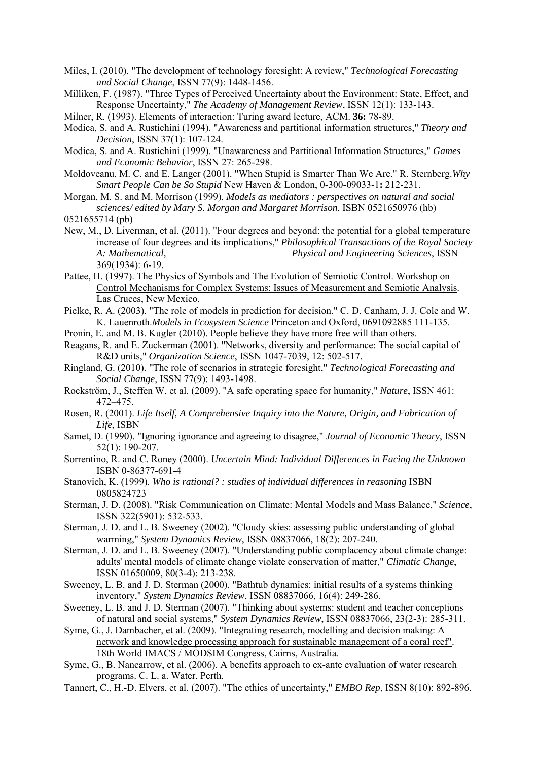- Miles, I. (2010). "The development of technology foresight: A review," *Technological Forecasting and Social Change*, ISSN 77(9): 1448-1456.
- Milliken, F. (1987). "Three Types of Perceived Uncertainty about the Environment: State, Effect, and Response Uncertainty," *The Academy of Management Review*, ISSN 12(1): 133-143.
- Milner, R. (1993). Elements of interaction: Turing award lecture, ACM. **36:** 78-89.
- Modica, S. and A. Rustichini (1994). "Awareness and partitional information structures," *Theory and Decision*, ISSN 37(1): 107-124.
- Modica, S. and A. Rustichini (1999). "Unawareness and Partitional Information Structures," *Games and Economic Behavior*, ISSN 27: 265-298.
- Moldoveanu, M. C. and E. Langer (2001). "When Stupid is Smarter Than We Are." R. Sternberg.*Why Smart People Can be So Stupid* New Haven & London, 0-300-09033-1**:** 212-231.
- Morgan, M. S. and M. Morrison (1999). *Models as mediators : perspectives on natural and social sciences/ edited by Mary S. Morgan and Margaret Morrison*, ISBN 0521650976 (hb)
- 0521655714 (pb)
- New, M., D. Liverman, et al. (2011). "Four degrees and beyond: the potential for a global temperature increase of four degrees and its implications," *Philosophical Transactions of the Royal Society A: Mathematical, Physical and Engineering Sciences*, ISSN 369(1934): 6-19.
- Pattee, H. (1997). The Physics of Symbols and The Evolution of Semiotic Control. Workshop on Control Mechanisms for Complex Systems: Issues of Measurement and Semiotic Analysis. Las Cruces, New Mexico.
- Pielke, R. A. (2003). "The role of models in prediction for decision." C. D. Canham, J. J. Cole and W. K. Lauenroth.*Models in Ecosystem Science* Princeton and Oxford, 0691092885 111-135.
- Pronin, E. and M. B. Kugler (2010). People believe they have more free will than others.
- Reagans, R. and E. Zuckerman (2001). "Networks, diversity and performance: The social capital of R&D units," *Organization Science*, ISSN 1047-7039, 12: 502-517.
- Ringland, G. (2010). "The role of scenarios in strategic foresight," *Technological Forecasting and Social Change*, ISSN 77(9): 1493-1498.
- Rockström, J., Steffen W, et al. (2009). "A safe operating space for humanity," *Nature*, ISSN 461: 472–475.
- Rosen, R. (2001). *Life Itself, A Comprehensive Inquiry into the Nature, Origin, and Fabrication of Life*, ISBN
- Samet, D. (1990). "Ignoring ignorance and agreeing to disagree," *Journal of Economic Theory*, ISSN 52(1): 190-207.
- Sorrentino, R. and C. Roney (2000). *Uncertain Mind: Individual Differences in Facing the Unknown*  ISBN 0-86377-691-4
- Stanovich, K. (1999). *Who is rational? : studies of individual differences in reasoning* ISBN 0805824723
- Sterman, J. D. (2008). "Risk Communication on Climate: Mental Models and Mass Balance," *Science*, ISSN 322(5901): 532-533.
- Sterman, J. D. and L. B. Sweeney (2002). "Cloudy skies: assessing public understanding of global warming," *System Dynamics Review*, ISSN 08837066, 18(2): 207-240.
- Sterman, J. D. and L. B. Sweeney (2007). "Understanding public complacency about climate change: adults' mental models of climate change violate conservation of matter," *Climatic Change*, ISSN 01650009, 80(3-4): 213-238.
- Sweeney, L. B. and J. D. Sterman (2000). "Bathtub dynamics: initial results of a systems thinking inventory," *System Dynamics Review*, ISSN 08837066, 16(4): 249-286.
- Sweeney, L. B. and J. D. Sterman (2007). "Thinking about systems: student and teacher conceptions of natural and social systems," *System Dynamics Review*, ISSN 08837066, 23(2-3): 285-311.
- Syme, G., J. Dambacher, et al. (2009). "Integrating research, modelling and decision making: A network and knowledge processing approach for sustainable management of a coral reef". 18th World IMACS / MODSIM Congress, Cairns, Australia.
- Syme, G., B. Nancarrow, et al. (2006). A benefits approach to ex-ante evaluation of water research programs. C. L. a. Water. Perth.
- Tannert, C., H.-D. Elvers, et al. (2007). "The ethics of uncertainty," *EMBO Rep*, ISSN 8(10): 892-896.